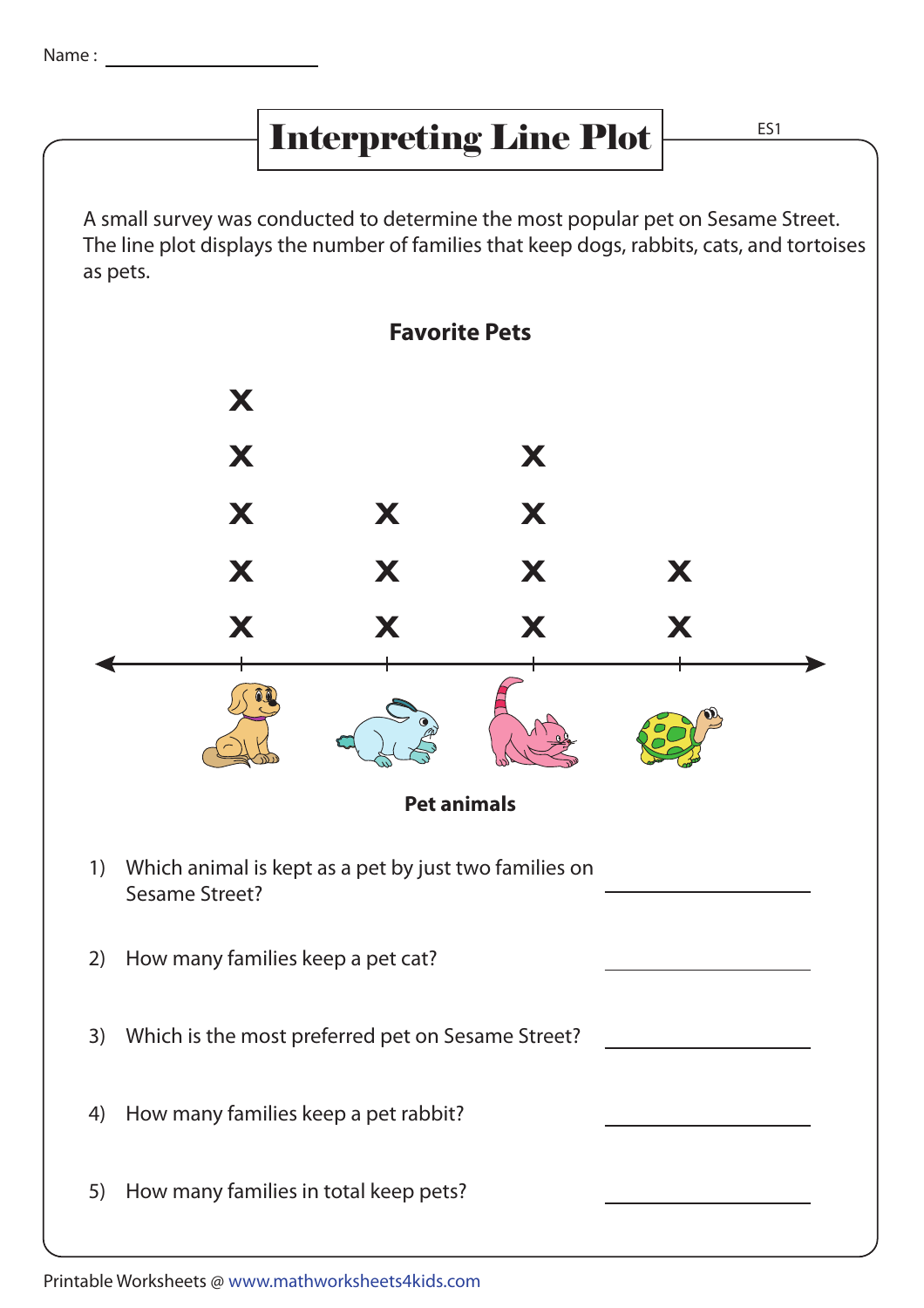## Interpreting Line Plot  $\frac{ES1}{ES1}$

A small survey was conducted to determine the most popular pet on Sesame Street. The line plot displays the number of families that keep dogs, rabbits, cats, and tortoises as pets.



Printable Worksheets @ www.mathworksheets4kids.com